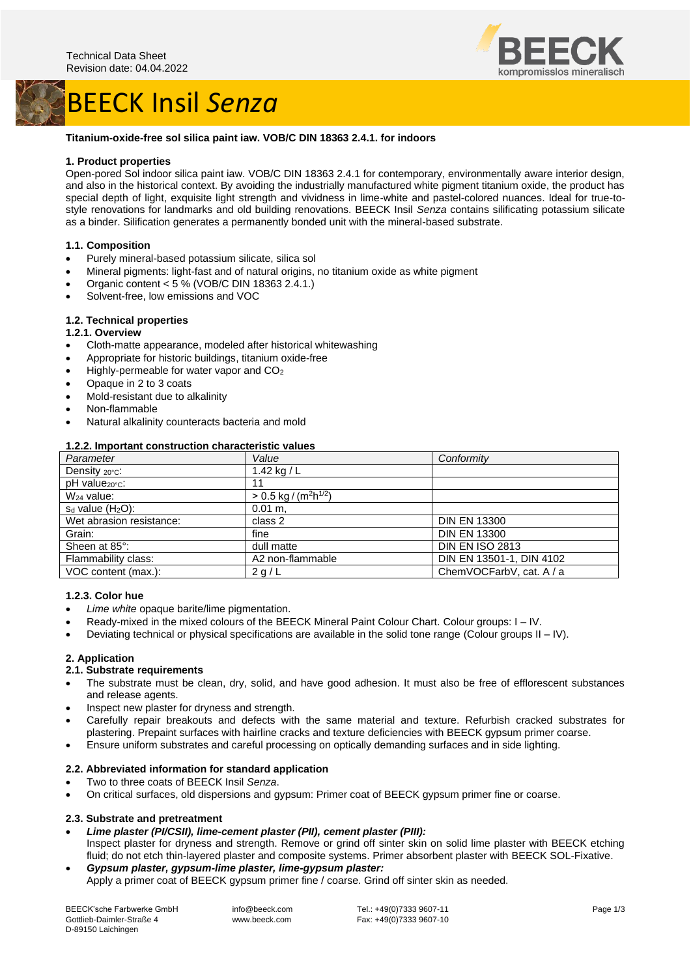# BEECK Insil *Senza*



#### **Titanium-oxide-free sol silica paint iaw. VOB/C DIN 18363 2.4.1. for indoors**

# **1. Product properties**

Open-pored Sol indoor silica paint iaw. VOB/C DIN 18363 2.4.1 for contemporary, environmentally aware interior design, and also in the historical context. By avoiding the industrially manufactured white pigment titanium oxide, the product has special depth of light, exquisite light strength and vividness in lime-white and pastel-colored nuances. Ideal for true-tostyle renovations for landmarks and old building renovations. BEECK Insil *Senza* contains silificating potassium silicate as a binder. Silification generates a permanently bonded unit with the mineral-based substrate.

# **1.1. Composition**

- Purely mineral-based potassium silicate, silica sol
- Mineral pigments: light-fast and of natural origins, no titanium oxide as white pigment
- Organic content < 5 % (VOB/C DIN 18363 2.4.1.)
- Solvent-free, low emissions and VOC

# **1.2. Technical properties**

#### **1.2.1. Overview**

- Cloth-matte appearance, modeled after historical whitewashing
- Appropriate for historic buildings, titanium oxide-free
- Highly-permeable for water vapor and CO<sub>2</sub>
- Opaque in 2 to 3 coats
- Mold-resistant due to alkalinity
- Non-flammable
- Natural alkalinity counteracts bacteria and mold

#### **1.2.2. Important construction characteristic values**

| Parameter                  | Value                                           | Conformity               |
|----------------------------|-------------------------------------------------|--------------------------|
| Density $20^{\circ}$ c:    | 1.42 kg / L                                     |                          |
| pH value <sub>20°C</sub> : | 11                                              |                          |
| $W24$ value:               | $> 0.5$ kg / (m <sup>2</sup> h <sup>1/2</sup> ) |                          |
| $s_d$ value $(H_2O)$ :     | $0.01 m$ .                                      |                          |
| Wet abrasion resistance:   | class 2                                         | <b>DIN EN 13300</b>      |
| Grain:                     | fine                                            | <b>DIN EN 13300</b>      |
| Sheen at 85°:              | dull matte                                      | <b>DIN EN ISO 2813</b>   |
| Flammability class:        | A2 non-flammable                                | DIN EN 13501-1, DIN 4102 |
| VOC content (max.):        | 2 g/L                                           | ChemVOCFarbV, cat. A / a |

#### **1.2.3. Color hue**

- *Lime white* opaque barite/lime pigmentation.
- Ready-mixed in the mixed colours of the BEECK Mineral Paint Colour Chart. Colour groups: I IV.
- Deviating technical or physical specifications are available in the solid tone range (Colour groups II IV).

#### **2. Application**

### **2.1. Substrate requirements**

- The substrate must be clean, dry, solid, and have good adhesion. It must also be free of efflorescent substances and release agents.
- Inspect new plaster for dryness and strength.
- Carefully repair breakouts and defects with the same material and texture. Refurbish cracked substrates for plastering. Prepaint surfaces with hairline cracks and texture deficiencies with BEECK gypsum primer coarse.
- Ensure uniform substrates and careful processing on optically demanding surfaces and in side lighting.

#### **2.2. Abbreviated information for standard application**

- Two to three coats of BEECK Insil *Senza*.
- On critical surfaces, old dispersions and gypsum: Primer coat of BEECK gypsum primer fine or coarse.

### **2.3. Substrate and pretreatment**

- *Lime plaster (PI/CSII), lime-cement plaster (PII), cement plaster (PIII):* Inspect plaster for dryness and strength. Remove or grind off sinter skin on solid lime plaster with BEECK etching fluid; do not etch thin-layered plaster and composite systems. Primer absorbent plaster with BEECK SOL-Fixative.
- *Gypsum plaster, gypsum-lime plaster, lime-gypsum plaster:* Apply a primer coat of BEECK gypsum primer fine / coarse. Grind off sinter skin as needed.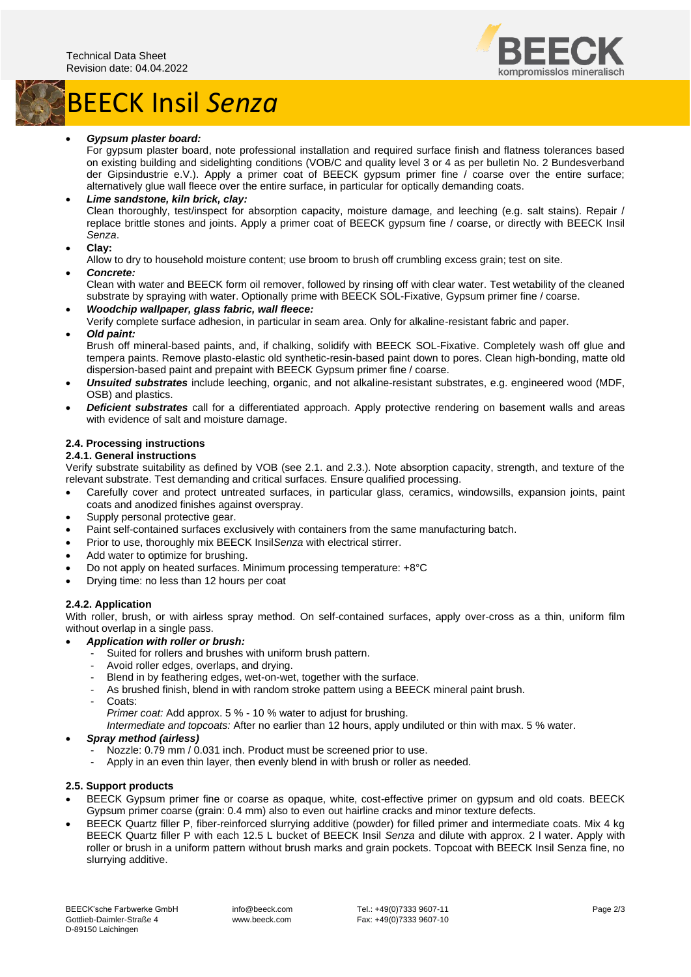# BEECK Insil *Senza*



# • *Gypsum plaster board:*

For gypsum plaster board, note professional installation and required surface finish and flatness tolerances based on existing building and sidelighting conditions (VOB/C and quality level 3 or 4 as per bulletin No. 2 Bundesverband der Gipsindustrie e.V.). Apply a primer coat of BEECK gypsum primer fine / coarse over the entire surface; alternatively glue wall fleece over the entire surface, in particular for optically demanding coats.

#### • *Lime sandstone, kiln brick, clay:* Clean thoroughly, test/inspect for absorption capacity, moisture damage, and leeching (e.g. salt stains). Repair / replace brittle stones and joints. Apply a primer coat of BEECK gypsum fine / coarse, or directly with BEECK Insil *Senza*.

• **Clay:**

Allow to dry to household moisture content; use broom to brush off crumbling excess grain; test on site.

• *Concrete:*

Clean with water and BEECK form oil remover, followed by rinsing off with clear water. Test wetability of the cleaned substrate by spraying with water. Optionally prime with BEECK SOL-Fixative, Gypsum primer fine / coarse.

• *Woodchip wallpaper, glass fabric, wall fleece:*

Verify complete surface adhesion, in particular in seam area. Only for alkaline-resistant fabric and paper. • *Old paint:*

Brush off mineral-based paints, and, if chalking, solidify with BEECK SOL-Fixative. Completely wash off glue and tempera paints. Remove plasto-elastic old synthetic-resin-based paint down to pores. Clean high-bonding, matte old dispersion-based paint and prepaint with BEECK Gypsum primer fine / coarse.

- *Unsuited substrates* include leeching, organic, and not alkaline-resistant substrates, e.g. engineered wood (MDF, OSB) and plastics.
- *Deficient substrates* call for a differentiated approach. Apply protective rendering on basement walls and areas with evidence of salt and moisture damage.

# **2.4. Processing instructions**

# **2.4.1. General instructions**

Verify substrate suitability as defined by VOB (see 2.1. and 2.3.). Note absorption capacity, strength, and texture of the relevant substrate. Test demanding and critical surfaces. Ensure qualified processing.

- Carefully cover and protect untreated surfaces, in particular glass, ceramics, windowsills, expansion joints, paint coats and anodized finishes against overspray.
- Supply personal protective gear.
- Paint self-contained surfaces exclusively with containers from the same manufacturing batch.
- Prior to use, thoroughly mix BEECK Insil*Senza* with electrical stirrer.
- Add water to optimize for brushing.
- Do not apply on heated surfaces. Minimum processing temperature: +8°C
- Drying time: no less than 12 hours per coat

#### **2.4.2. Application**

With roller, brush, or with airless spray method. On self-contained surfaces, apply over-cross as a thin, uniform film without overlap in a single pass.

#### • *Application with roller or brush:*

- Suited for rollers and brushes with uniform brush pattern.
- Avoid roller edges, overlaps, and drying.
- Blend in by feathering edges, wet-on-wet, together with the surface.
- As brushed finish, blend in with random stroke pattern using a BEECK mineral paint brush.
- Coats:

*Primer coat:* Add approx. 5 % - 10 % water to adjust for brushing.

*Intermediate and topcoats:* After no earlier than 12 hours, apply undiluted or thin with max. 5 % water.

#### • *Spray method (airless)*

- Nozzle: 0.79 mm / 0.031 inch. Product must be screened prior to use.
- Apply in an even thin layer, then evenly blend in with brush or roller as needed.

#### **2.5. Support products**

- BEECK Gypsum primer fine or coarse as opaque, white, cost-effective primer on gypsum and old coats. BEECK Gypsum primer coarse (grain: 0.4 mm) also to even out hairline cracks and minor texture defects.
- BEECK Quartz filler P, fiber-reinforced slurrying additive (powder) for filled primer and intermediate coats. Mix 4 kg BEECK Quartz filler P with each 12.5 L bucket of BEECK Insil *Senza* and dilute with approx. 2 l water. Apply with roller or brush in a uniform pattern without brush marks and grain pockets. Topcoat with BEECK Insil Senza fine, no slurrying additive.